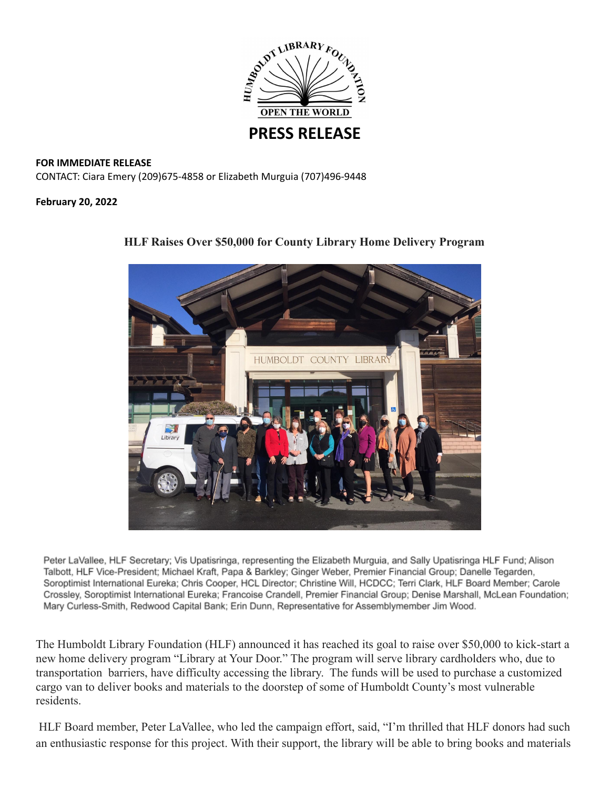

## **FOR IMMEDIATE RELEASE** CONTACT: Ciara Emery (209)675-4858 or Elizabeth Murguia (707)496-9448

**February 20, 2022**



## **HLF Raises Over \$50,000 for County Library Home Delivery Program**

Peter LaVallee, HLF Secretary; Vis Upatisringa, representing the Elizabeth Murguia, and Sally Upatisringa HLF Fund; Alison Talbott, HLF Vice-President; Michael Kraft, Papa & Barkley; Ginger Weber, Premier Financial Group; Danelle Tegarden, Soroptimist International Eureka; Chris Cooper, HCL Director; Christine Will, HCDCC; Terri Clark, HLF Board Member; Carole Crossley, Soroptimist International Eureka; Francoise Crandell, Premier Financial Group; Denise Marshall, McLean Foundation; Mary Curless-Smith, Redwood Capital Bank; Erin Dunn, Representative for Assemblymember Jim Wood.

The Humboldt Library Foundation (HLF) announced it has reached its goal to raise over \$50,000 to kick-start a new home delivery program "Library at Your Door." The program will serve library cardholders who, due to transportation barriers, have difficulty accessing the library. The funds will be used to purchase a customized cargo van to deliver books and materials to the doorstep of some of Humboldt County's most vulnerable residents.

HLF Board member, Peter LaVallee, who led the campaign effort, said, "I'm thrilled that HLF donors had such an enthusiastic response for this project. With their support, the library will be able to bring books and materials